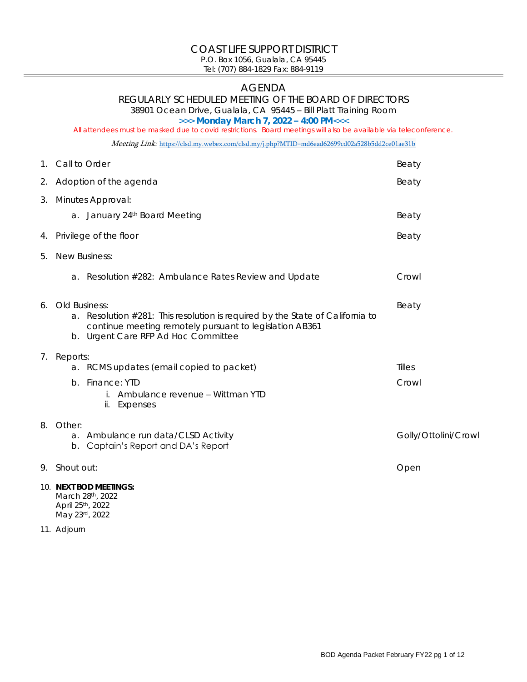#### COAST LIFE SUPPORT DISTRICT P.O. Box 1056, Gualala, CA 95445

Tel: (707) 884-1829 Fax: 884-9119

# AGENDA

REGULARLY SCHEDULED MEETING OF THE BOARD OF DIRECTORS

38901 Ocean Drive, Gualala, CA 95445 – Bill Platt Training Room

>>> **Monday March 7, 2022 – 4:00 PM**<<<

All attendees must be masked due to covid restrictions. Board meetings will also be available via teleconference.

Meeting Link: <https://clsd.my.webex.com/clsd.my/j.php?MTID=md6ead62699cd02a528b5dd2ce01ae31b>

|    | 1. Call to Order                                                                                                                                                                                    | Beaty                |
|----|-----------------------------------------------------------------------------------------------------------------------------------------------------------------------------------------------------|----------------------|
| 2. | Adoption of the agenda                                                                                                                                                                              | Beaty                |
| 3. | Minutes Approval:<br>a. January 24th Board Meeting                                                                                                                                                  | Beaty                |
| 4. | Privilege of the floor                                                                                                                                                                              | Beaty                |
| 5. | New Business:                                                                                                                                                                                       |                      |
|    | Resolution #282: Ambulance Rates Review and Update<br>a.                                                                                                                                            | Crowl                |
| 6. | Old Business:<br>Resolution #281: This resolution is required by the State of California to<br>a.<br>continue meeting remotely pursuant to legislation AB361<br>b. Urgent Care RFP Ad Hoc Committee | Beaty                |
| 7. | Reports:<br>a. RCMS updates (email copied to packet)<br>Finance: YTD<br>$b$ .<br>i. Ambulance revenue - Wittman YTD<br>Expenses<br>ii.                                                              | Tilles<br>Crowl      |
| 8. | Other:<br>Ambulance run data/CLSD Activity<br>a.<br>Captain's Report and DA's Report<br>b.                                                                                                          | Golly/Ottolini/Crowl |
|    | 9. Shout out:                                                                                                                                                                                       | Open                 |
|    | 10. NEXT BOD MEETINGS:<br>March 28th, 2022<br>April 25th, 2022<br>May 23rd, 2022                                                                                                                    |                      |

11. Adjourn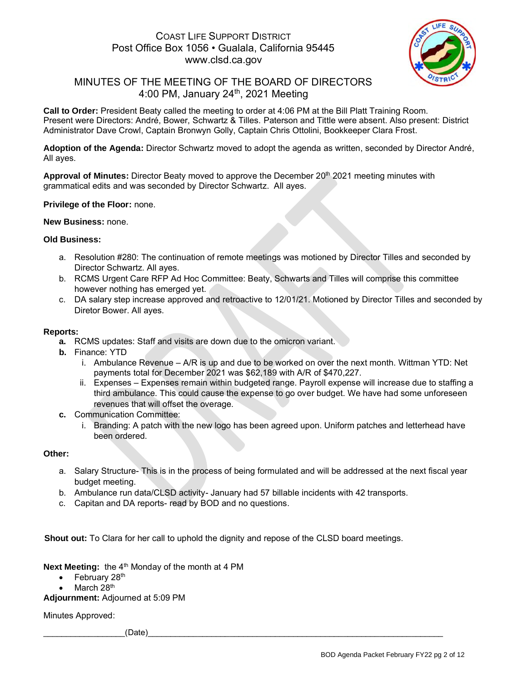### COAST LIFE SUPPORT DISTRICT Post Office Box 1056 • Gualala, California 95445 www.clsd.ca.gov



# MINUTES OF THE MEETING OF THE BOARD OF DIRECTORS 4:00 PM, January 24th , 2021 Meeting

**Call to Order:** President Beaty called the meeting to order at 4:06 PM at the Bill Platt Training Room. Present were Directors: André, Bower, Schwartz & Tilles. Paterson and Tittle were absent. Also present: District Administrator Dave Crowl, Captain Bronwyn Golly, Captain Chris Ottolini, Bookkeeper Clara Frost.

**Adoption of the Agenda:** Director Schwartz moved to adopt the agenda as written, seconded by Director André, All ayes.

Approval of Minutes: Director Beaty moved to approve the December 20<sup>th</sup> 2021 meeting minutes with grammatical edits and was seconded by Director Schwartz. All ayes.

#### **Privilege of the Floor:** none.

#### **New Business:** none.

#### **Old Business:**

- a. Resolution #280: The continuation of remote meetings was motioned by Director Tilles and seconded by Director Schwartz. All ayes.
- b. RCMS Urgent Care RFP Ad Hoc Committee: Beaty, Schwarts and Tilles will comprise this committee however nothing has emerged yet.
- c. DA salary step increase approved and retroactive to 12/01/21. Motioned by Director Tilles and seconded by Diretor Bower. All ayes.

#### **Reports:**

- **a.** RCMS updates: Staff and visits are down due to the omicron variant.
- **b.** Finance: YTD
	- i. Ambulance Revenue A/R is up and due to be worked on over the next month. Wittman YTD: Net payments total for December 2021 was \$62,189 with A/R of \$470,227.
	- ii. Expenses Expenses remain within budgeted range. Payroll expense will increase due to staffing a third ambulance. This could cause the expense to go over budget. We have had some unforeseen revenues that will offset the overage.
- **c.** Communication Committee:
	- i. Branding: A patch with the new logo has been agreed upon. Uniform patches and letterhead have been ordered.

#### **Other:**

- a. Salary Structure- This is in the process of being formulated and will be addressed at the next fiscal year budget meeting.
- b. Ambulance run data/CLSD activity- January had 57 billable incidents with 42 transports.
- c. Capitan and DA reports- read by BOD and no questions.

**Shout out:** To Clara for her call to uphold the dignity and repose of the CLSD board meetings.

**Next Meeting:** the 4<sup>th</sup> Monday of the month at 4 PM

- $\bullet$  February 28<sup>th</sup>
- March 28<sup>th</sup>

**Adjournment:** Adjourned at 5:09 PM

Minutes Approved:

\_\_\_\_\_\_\_\_\_\_\_\_\_\_\_\_\_\_(Date)\_\_\_\_\_\_\_\_\_\_\_\_\_\_\_\_\_\_\_\_\_\_\_\_\_\_\_\_\_\_\_\_\_\_\_\_\_\_\_\_\_\_\_\_\_\_\_\_\_\_\_\_\_\_\_\_\_\_\_\_\_\_\_\_\_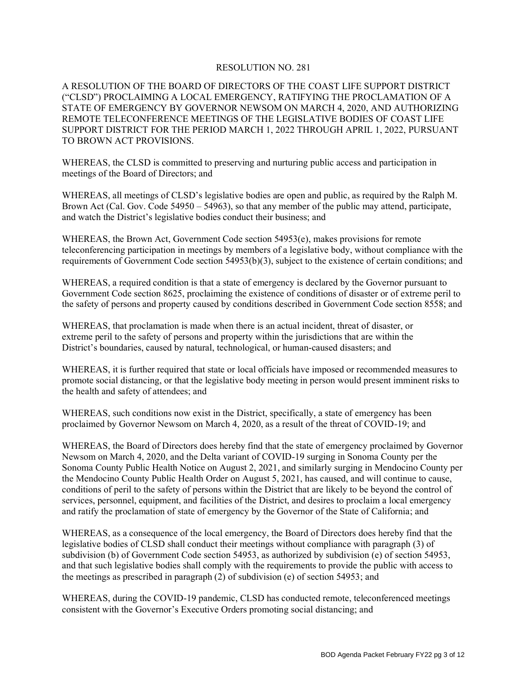#### RESOLUTION NO. 281

A RESOLUTION OF THE BOARD OF DIRECTORS OF THE COAST LIFE SUPPORT DISTRICT ("CLSD") PROCLAIMING A LOCAL EMERGENCY, RATIFYING THE PROCLAMATION OF A STATE OF EMERGENCY BY GOVERNOR NEWSOM ON MARCH 4, 2020, AND AUTHORIZING REMOTE TELECONFERENCE MEETINGS OF THE LEGISLATIVE BODIES OF COAST LIFE SUPPORT DISTRICT FOR THE PERIOD MARCH 1, 2022 THROUGH APRIL 1, 2022, PURSUANT TO BROWN ACT PROVISIONS.

WHEREAS, the CLSD is committed to preserving and nurturing public access and participation in meetings of the Board of Directors; and

WHEREAS, all meetings of CLSD's legislative bodies are open and public, as required by the Ralph M. Brown Act (Cal. Gov. Code 54950 – 54963), so that any member of the public may attend, participate, and watch the District's legislative bodies conduct their business; and

WHEREAS, the Brown Act, Government Code section 54953(e), makes provisions for remote teleconferencing participation in meetings by members of a legislative body, without compliance with the requirements of Government Code section 54953(b)(3), subject to the existence of certain conditions; and

WHEREAS, a required condition is that a state of emergency is declared by the Governor pursuant to Government Code section 8625, proclaiming the existence of conditions of disaster or of extreme peril to the safety of persons and property caused by conditions described in Government Code section 8558; and

WHEREAS, that proclamation is made when there is an actual incident, threat of disaster, or extreme peril to the safety of persons and property within the jurisdictions that are within the District's boundaries, caused by natural, technological, or human-caused disasters; and

WHEREAS, it is further required that state or local officials have imposed or recommended measures to promote social distancing, or that the legislative body meeting in person would present imminent risks to the health and safety of attendees; and

WHEREAS, such conditions now exist in the District, specifically, a state of emergency has been proclaimed by Governor Newsom on March 4, 2020, as a result of the threat of COVID-19; and

WHEREAS, the Board of Directors does hereby find that the state of emergency proclaimed by Governor Newsom on March 4, 2020, and the Delta variant of COVID-19 surging in Sonoma County per the Sonoma County Public Health Notice on August 2, 2021, and similarly surging in Mendocino County per the Mendocino County Public Health Order on August 5, 2021, has caused, and will continue to cause, conditions of peril to the safety of persons within the District that are likely to be beyond the control of services, personnel, equipment, and facilities of the District, and desires to proclaim a local emergency and ratify the proclamation of state of emergency by the Governor of the State of California; and

WHEREAS, as a consequence of the local emergency, the Board of Directors does hereby find that the legislative bodies of CLSD shall conduct their meetings without compliance with paragraph (3) of subdivision (b) of Government Code section 54953, as authorized by subdivision (e) of section 54953, and that such legislative bodies shall comply with the requirements to provide the public with access to the meetings as prescribed in paragraph (2) of subdivision (e) of section 54953; and

WHEREAS, during the COVID-19 pandemic, CLSD has conducted remote, teleconferenced meetings consistent with the Governor's Executive Orders promoting social distancing; and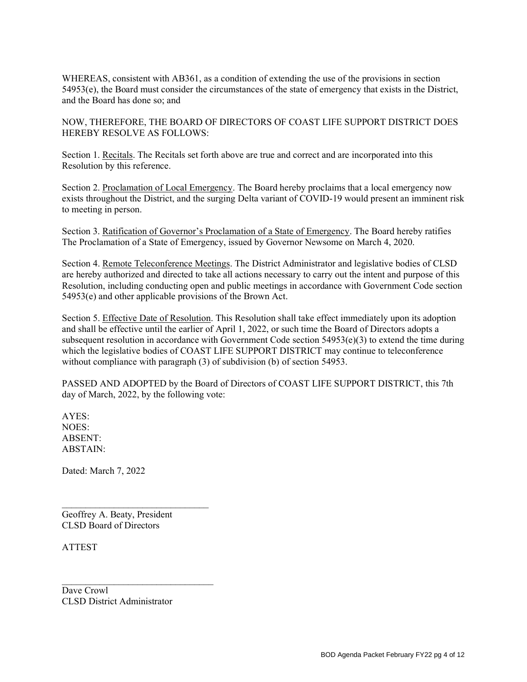WHEREAS, consistent with AB361, as a condition of extending the use of the provisions in section 54953(e), the Board must consider the circumstances of the state of emergency that exists in the District, and the Board has done so; and

NOW, THEREFORE, THE BOARD OF DIRECTORS OF COAST LIFE SUPPORT DISTRICT DOES HEREBY RESOLVE AS FOLLOWS:

Section 1. Recitals. The Recitals set forth above are true and correct and are incorporated into this Resolution by this reference.

Section 2. Proclamation of Local Emergency. The Board hereby proclaims that a local emergency now exists throughout the District, and the surging Delta variant of COVID-19 would present an imminent risk to meeting in person.

Section 3. Ratification of Governor's Proclamation of a State of Emergency. The Board hereby ratifies The Proclamation of a State of Emergency, issued by Governor Newsome on March 4, 2020.

Section 4. Remote Teleconference Meetings. The District Administrator and legislative bodies of CLSD are hereby authorized and directed to take all actions necessary to carry out the intent and purpose of this Resolution, including conducting open and public meetings in accordance with Government Code section 54953(e) and other applicable provisions of the Brown Act.

Section 5. Effective Date of Resolution. This Resolution shall take effect immediately upon its adoption and shall be effective until the earlier of April 1, 2022, or such time the Board of Directors adopts a subsequent resolution in accordance with Government Code section 54953(e)(3) to extend the time during which the legislative bodies of COAST LIFE SUPPORT DISTRICT may continue to teleconference without compliance with paragraph (3) of subdivision (b) of section 54953.

PASSED AND ADOPTED by the Board of Directors of COAST LIFE SUPPORT DISTRICT, this 7th day of March, 2022, by the following vote:

AYES: NOES: ABSENT: ABSTAIN:

Dated: March 7, 2022

\_\_\_\_\_\_\_\_\_\_\_\_\_\_\_\_\_\_\_\_\_\_\_\_\_\_\_\_\_\_\_ Geoffrey A. Beaty, President CLSD Board of Directors

ATTEST

Dave Crowl CLSD District Administrator

 $\mathcal{L}_\text{max}$  , where  $\mathcal{L}_\text{max}$  is the set of the set of the set of the set of the set of the set of the set of the set of the set of the set of the set of the set of the set of the set of the set of the set of the se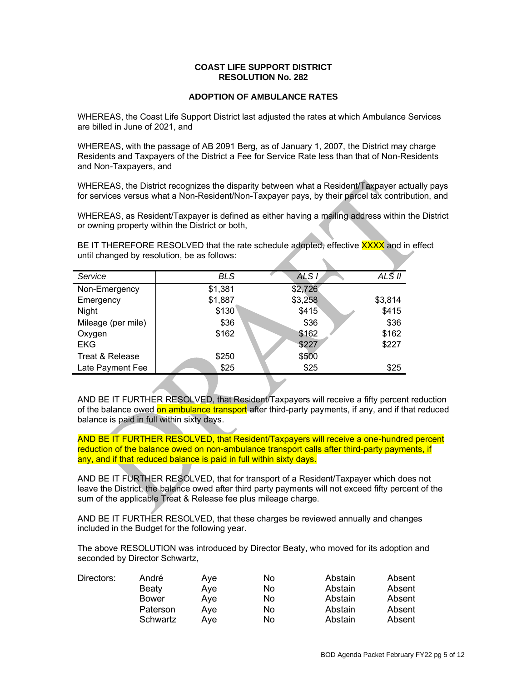#### **COAST LIFE SUPPORT DISTRICT RESOLUTION No. 282**

#### **ADOPTION OF AMBULANCE RATES**

WHEREAS, the Coast Life Support District last adjusted the rates at which Ambulance Services are billed in June of 2021, and

WHEREAS, with the passage of AB 2091 Berg, as of January 1, 2007, the District may charge Residents and Taxpayers of the District a Fee for Service Rate less than that of Non-Residents and Non-Taxpayers, and

WHEREAS, the District recognizes the disparity between what a Resident/Taxpayer actually pays for services versus what a Non-Resident/Non-Taxpayer pays, by their parcel tax contribution, and

WHEREAS, as Resident/Taxpayer is defined as either having a mailing address within the District or owning property within the District or both,

BE IT THEREFORE RESOLVED that the rate schedule adopted, effective XXXX and in effect until changed by resolution, be as follows:

| Service            | <b>BLS</b> | ALS <sub>I</sub> | ALS II  |
|--------------------|------------|------------------|---------|
| Non-Emergency      | \$1,381    | \$2,726          |         |
| Emergency          | \$1,887    | \$3,258          | \$3,814 |
| Night              | \$130      | \$415            | \$415   |
| Mileage (per mile) | \$36       | \$36             | \$36    |
| Oxygen             | \$162      | \$162            | \$162   |
| <b>EKG</b>         |            | \$227            | \$227   |
| Treat & Release    | \$250      | \$500            |         |
| Late Payment Fee   | \$25       | \$25             | \$25    |
|                    |            |                  |         |

AND BE IT FURTHER RESOLVED, that Resident/Taxpayers will receive a fifty percent reduction of the balance owed on ambulance transport after third-party payments, if any, and if that reduced balance is paid in full within sixty days.

AND BE IT FURTHER RESOLVED, that Resident/Taxpayers will receive a one-hundred percent reduction of the balance owed on non-ambulance transport calls after third-party payments, if any, and if that reduced balance is paid in full within sixty days.

AND BE IT FURTHER RESOLVED, that for transport of a Resident/Taxpayer which does not leave the District, the balance owed after third party payments will not exceed fifty percent of the sum of the applicable Treat & Release fee plus mileage charge.

AND BE IT FURTHER RESOLVED, that these charges be reviewed annually and changes included in the Budget for the following year.

The above RESOLUTION was introduced by Director Beaty, who moved for its adoption and seconded by Director Schwartz,

| Directors: | André        | Ave | No | Abstain | Absent |
|------------|--------------|-----|----|---------|--------|
|            | Beaty        | Aye | No | Abstain | Absent |
|            | <b>Bower</b> | Ave | No | Abstain | Absent |
|            | Paterson     | Ave | No | Abstain | Absent |
|            | Schwartz     | Ave | No | Abstain | Absent |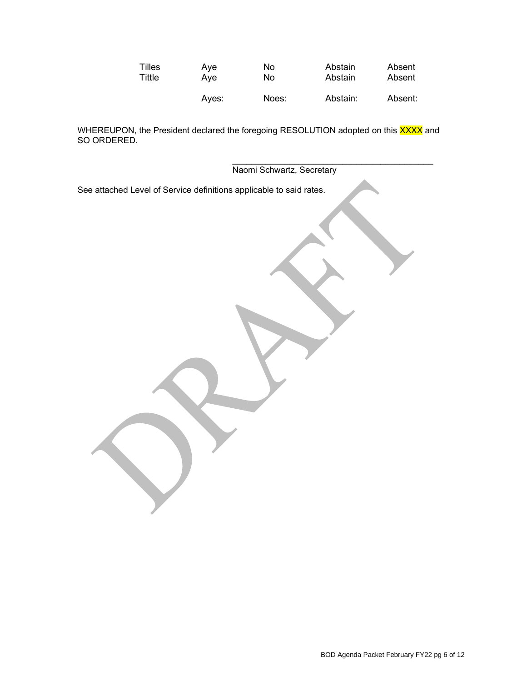| Tilles | Ave   | No    | Abstain  | Absent  |
|--------|-------|-------|----------|---------|
| Tittle | Ave   | No    | Abstain  | Absent  |
|        | Aves: | Noes: | Abstain: | Absent: |

WHEREUPON, the President declared the foregoing RESOLUTION adopted on this <mark>XXXX</mark> and SO ORDERED.

> \_\_\_\_\_\_\_\_\_\_\_\_\_\_\_\_\_\_\_\_\_\_\_\_\_\_\_\_\_\_\_\_\_\_\_\_\_\_\_\_\_\_ Naomi Schwartz, Secretary

See attached Level of Service definitions applicable to said rates.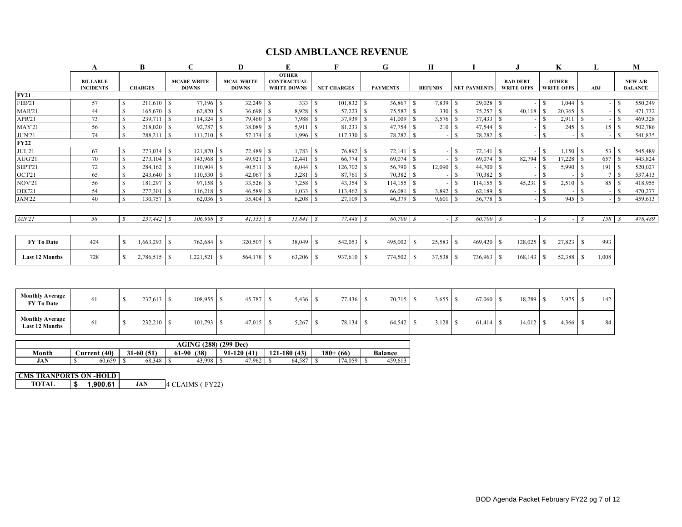## **CLSD AMBULANCE REVENUE**

|                       | B<br>A                              |               |                 | C             | D                                                                       | E               |                                                          |              |                    | G   |                 | Н    |                |                               |     |                                      | K                                 | L          |                         | M      |               |                                  |
|-----------------------|-------------------------------------|---------------|-----------------|---------------|-------------------------------------------------------------------------|-----------------|----------------------------------------------------------|--------------|--------------------|-----|-----------------|------|----------------|-------------------------------|-----|--------------------------------------|-----------------------------------|------------|-------------------------|--------|---------------|----------------------------------|
|                       | <b>BILLABLE</b><br><b>INCIDENTS</b> |               | <b>CHARGES</b>  |               | <b>MCAL WRITE</b><br><b>MCARE WRITE</b><br><b>DOWNS</b><br><b>DOWNS</b> |                 | <b>OTHER</b><br><b>CONTRACTUAL</b><br><b>WRITE DOWNS</b> |              | <b>NET CHARGES</b> |     | <b>PAYMENTS</b> |      | <b>REFUNDS</b> | <b>NET PAYMENTS</b>           |     | <b>BAD DEBT</b><br><b>WRITE OFFS</b> | <b>OTHER</b><br><b>WRITE OFFS</b> |            | ADJ                     |        |               | <b>NEW A/R</b><br><b>BALANCE</b> |
| <b>FY21</b>           |                                     |               |                 |               |                                                                         |                 |                                                          |              |                    |     |                 |      |                |                               |     |                                      |                                   |            |                         |        |               |                                  |
| <b>FEB'21</b>         | 57                                  | -S            | $211,610$ \$    |               | 77,196 \$                                                               | 32,249          | 333<br>£.                                                | l S          | 101,832            | l S | $36,867$ \$     |      | 7,839 \$       | $29,028$ \$                   |     |                                      | -S                                | $1,044$ \$ |                         | $\sim$ | - \$          | 550,249                          |
| <b>MAR'21</b>         | 44                                  | -S            | 165,670         | \$.           | 62,820                                                                  | 36,698          | 8,928                                                    |              | 57,223             |     | 75.587 \$       |      | 330            | 75,257                        | IS. | 40,118                               |                                   |            |                         |        | -S            | 471,732                          |
| APR'21                | 73                                  |               | 239,711         |               | $114,324$ \$                                                            | 79,460          | 7,988                                                    |              | 37,939             |     | $41,009$ \$     |      |                |                               |     |                                      |                                   | 2,911      | $\overline{\mathbf{s}}$ |        | -S            | 469,328                          |
| <b>MAY'21</b>         | 56                                  | -S            | 218,020         | <sup>S</sup>  | 92,787                                                                  | 38,089          | 5,911                                                    | $\mathbf{s}$ | 81,233             | -S  |                 |      | 210S           |                               |     |                                      |                                   | 245        | - \$                    | 15     | -S            | 502,786                          |
| <b>JUN'21</b>         | 74                                  | -S            | 288,211         | <sup>\$</sup> | $111,710$ \$                                                            | 57,174          | -S                                                       | $1,996$ \$   | 117,330            | ΙS  | 78,282 \$       |      |                | 78,282 \$<br>-S               |     |                                      |                                   |            | -S                      |        | -S            | 541,835                          |
| <b>FY22</b>           |                                     |               |                 |               |                                                                         |                 |                                                          |              |                    |     |                 |      |                |                               |     |                                      |                                   |            |                         |        |               |                                  |
| JUL'21                | 67                                  | -S            | 273,034         |               | 121,870 \$                                                              | 72,489          | 1,783                                                    |              | 76,892             |     | 72,141          | - \$ |                | $72,141$ \\$<br><sup>\$</sup> |     |                                      | \$.                               | 1,150      |                         | 53     | -S            | 545,489                          |
| AUG'21                | 70                                  | \$.           | 273,104         |               | 143,968 \$                                                              | 49,921          | 12,441                                                   |              | 66,774             | - S | $69,074$ \$     |      |                |                               |     | 82,794                               |                                   | 17,228     |                         | 657    | - \$          | 443,824                          |
| SEPT21                | 72                                  | <b>S</b>      | 284,162         | \$.           | 110,904                                                                 | 40,511<br>l S   | 6,044                                                    | S            | 126,702            |     | 56,790          | -S   | 12,090         | 44,700 \$<br>l S              |     |                                      |                                   | 5,990      |                         | 191    | <sup>\$</sup> | 520,027                          |
| OCT21                 | 65                                  | -S            | 243,640         |               | $110,530$ \$                                                            | 42,067          | 3,281                                                    |              | 87,761             |     | $70,382$   \$   |      |                |                               |     |                                      |                                   |            |                         |        | -8            | 537,413                          |
| <b>NOV'21</b>         | 56                                  | $\mathbf S$   | 181,297         |               | 97,158 \$                                                               | 33,526          | 7,258                                                    |              | 43,354             |     |                 |      |                | $114, 155$ \$<br>- \$         |     | 45,231                               |                                   | 2,510      |                         | 85     | - \$          | 418,955                          |
| DEC'21                | 54                                  | -S            | 277,301         |               | $116,218$ \$                                                            | 46,589          | 1,033                                                    |              | 113,462            |     | 66,081          | -S   | $3,892$ \$     | $62,189$ \$                   |     |                                      |                                   |            |                         |        | - \$          | 470,277                          |
| <b>JAN'22</b>         | 40                                  | $\mathcal{S}$ | 130,757         |               | $62,036$ \$                                                             | 35,404          | 6,208                                                    |              | 27,109             | l S | 46,379          | -S   | 9,601          | ı S                           |     |                                      | $\mathcal{S}$                     | 945S       |                         |        | <sup>\$</sup> | 459,613                          |
|                       |                                     |               |                 |               |                                                                         |                 |                                                          |              |                    |     |                 |      |                |                               |     |                                      |                                   |            |                         |        |               |                                  |
| JAN'2I                | 58                                  | S             | $237,442$ \$    |               | $106,998$ \$                                                            | 41,155          | $11,841$ \$<br>-8                                        |              | $77,448$ \$        |     | 60,700 \$       |      | $ s$           | 60,700 \$                     |     |                                      | S                                 |            | $ \sqrt{s}$             | 158    | - S           | 478,489                          |
|                       |                                     |               |                 |               |                                                                         |                 |                                                          |              |                    |     |                 |      |                |                               |     |                                      |                                   |            |                         |        |               |                                  |
| <b>FY To Date</b>     | 424                                 | <sup>S</sup>  | $1,663,293$ \$  |               | 762,684 \$                                                              | 320,507         | 38,049<br>-S                                             | -S           | 542,053            | -S  | 495,002         |      | 25,583         | 469,420 \$<br>l \$            |     | 128,025                              | £.                                | 27,823     | - \$                    | 993    |               |                                  |
| <b>Last 12 Months</b> | 728                                 | -S            | $2,786,515$ \\$ |               | 1,221,521                                                               | 564,178<br>. IS | 63,206<br>-S                                             | <sup>S</sup> | 937,610            | ΙSΙ | 774,502         |      |                | 736,963 \$                    |     | 168,143                              | <sup>S</sup>                      | 52,388     | -S                      | 1,008  |               |                                  |
|                       |                                     |               |                 |               |                                                                         |                 |                                                          |              |                    |     |                 |      |                |                               |     |                                      |                                   |            |                         |        |               |                                  |

| <b>Monthly Average</b><br><b>FY To Date</b>     | 61 | 237,613    | 108,955 \$   | 45,787 | 5,436      | 77,436 | 70,715 | $3.655$ \$ | 18,289 | 3.975 | 142 |
|-------------------------------------------------|----|------------|--------------|--------|------------|--------|--------|------------|--------|-------|-----|
| <b>Monthly Average</b><br><b>Last 12 Months</b> | 61 | 232,210 \$ | $101,793$ \$ | 47,015 | $5,267$ \; | 78,134 | 64,542 | $3,128$ \$ | 14,012 | 4,366 | 84  |

|            | <b>AGING (288)</b><br>$(299$ Dec) |             |               |              |                 |                |                |  |  |  |  |  |  |  |  |
|------------|-----------------------------------|-------------|---------------|--------------|-----------------|----------------|----------------|--|--|--|--|--|--|--|--|
| Month      | (40)<br><b>∪urrent</b>            | $31-60(51)$ | (38)<br>61-90 | $91-120(41)$ | 121-180<br>(43) | $180+$<br>(66) | <b>Balance</b> |  |  |  |  |  |  |  |  |
| <b>JAN</b> | 60,659                            | 68,348      | 43,998        | 47,962       | 64,587          | 174,059        | 459,613        |  |  |  |  |  |  |  |  |

**CMS TRANPORTS ON -HOLD**

**TOTAL \$ 1,900.61 JAN** 4 CLAIMS ( FY22)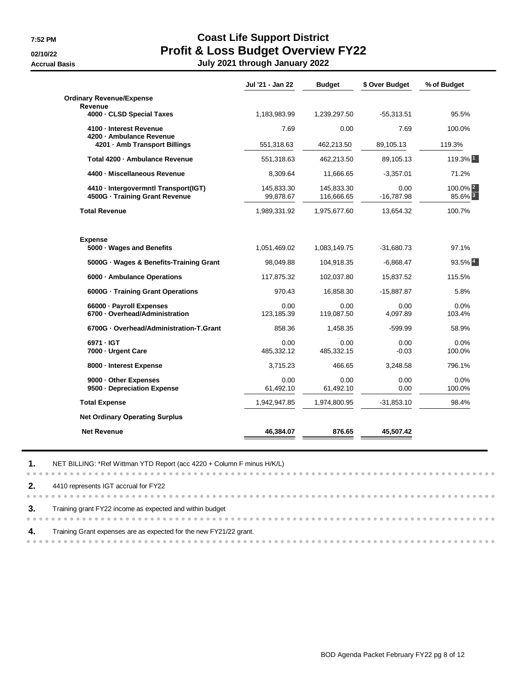. . . . . .

# **7:52 PM Coast Life Support District 02/10/22 Profit & Loss Budget Overview FY22 Accrual Basis July 2021 through January 2022**

|                                                     | Jul '21 - Jan 22 | <b>Budget</b> | \$ Over Budget | % of Budget           |
|-----------------------------------------------------|------------------|---------------|----------------|-----------------------|
| <b>Ordinary Revenue/Expense</b>                     |                  |               |                |                       |
| <b>Revenue</b><br>4000 - CLSD Special Taxes         | 1,183,983.99     | 1,239,297.50  | $-55,313.51$   | 95.5%                 |
|                                                     |                  |               | 7.69           |                       |
| 4100 - Interest Revenue<br>4200 - Ambulance Revenue | 7.69             | 0.00          |                | 100.0%                |
| 4201 - Amb Transport Billings                       | 551,318.63       | 462,213.50    | 89,105.13      | 119.3%                |
| Total 4200 - Ambulance Revenue                      | 551,318.63       | 462,213.50    | 89,105.13      | 119.3% 1              |
| 4400 - Miscellaneous Revenue                        | 8,309.64         | 11,666.65     | $-3,357.01$    | 71.2%                 |
| 4410 - Intergovermntl Transport(IGT)                | 145,833.30       | 145.833.30    | 0.00           | $100.0\%$ $2$         |
| 4500G - Training Grant Revenue                      | 99,878.67        | 116,666.65    | $-16,787.98$   | 85.6% 3               |
| <b>Total Revenue</b>                                | 1,989,331.92     | 1,975,677.60  | 13,654.32      | 100.7%                |
| <b>Expense</b>                                      |                  |               |                |                       |
| 5000 · Wages and Benefits                           | 1,051,469.02     | 1,083,149.75  | $-31,680.73$   | 97.1%                 |
| 5000G · Wages & Benefits-Training Grant             | 98,049.88        | 104,918.35    | $-6,868.47$    | $93.5\%$ <sup>4</sup> |
| 6000 - Ambulance Operations                         | 117,875.32       | 102,037.80    | 15,837.52      | 115.5%                |
| 6000G - Training Grant Operations                   | 970.43           | 16,858.30     | -15,887.87     | 5.8%                  |
| 66000 - Payroll Expenses                            | 0.00             | 0.00          | 0.00           | 0.0%                  |
| 6700 - Overhead/Administration                      | 123,185.39       | 119,087.50    | 4,097.89       | 103.4%                |
| 6700G · Overhead/Administration-T.Grant             | 858.36           | 1,458.35      | $-599.99$      | 58.9%                 |
| 6971 - IGT                                          | 0.00             | 0.00          | 0.00           | 0.0%                  |
| 7000 - Urgent Care                                  | 485,332.12       | 485,332.15    | $-0.03$        | 100.0%                |
| 8000 - Interest Expense                             | 3,715.23         | 466.65        | 3,248.58       | 796.1%                |
| 9000 - Other Expenses                               | 0.00             | 0.00          | 0.00           | 0.0%                  |
| 9500 - Depreciation Expense                         | 61,492.10        | 61,492.10     | 0.00           | 100.0%                |
| <b>Total Expense</b>                                | 1,942,947.85     | 1,974,800.95  | $-31,853.10$   | 98.4%                 |
| <b>Net Ordinary Operating Surplus</b>               |                  |               |                |                       |
| <b>Net Revenue</b>                                  | 46,384.07        | 876.65        | 45,507.42      |                       |

**2.** 4410 represents IGT accrual for FY22 **3.** Training grant FY22 income as expected and within budget **4.** Training Grant expenses are as expected for the new FY21/22 grant. 

**1.** NET BILLING: \*Ref Wittman YTD Report (acc 4220 + Column F minus H/K/L)

....................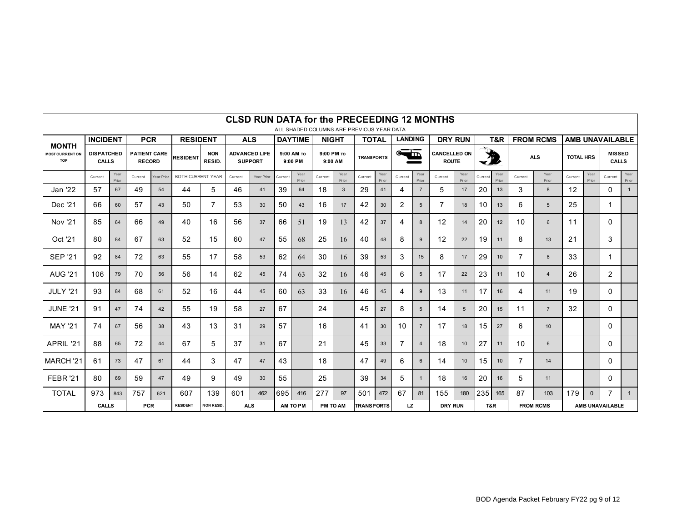|                                                      |                                                                                                                                                                                                   |               |                                      |                                        |                                                   |                      |                                        |            |         |                       |                 |                       |                   |                   |                |                | <b>CLSD RUN DATA for the PRECEEDING 12 MONTHS</b> |                                     |         |                  |                |                  |                        |               |                               |               |  |
|------------------------------------------------------|---------------------------------------------------------------------------------------------------------------------------------------------------------------------------------------------------|---------------|--------------------------------------|----------------------------------------|---------------------------------------------------|----------------------|----------------------------------------|------------|---------|-----------------------|-----------------|-----------------------|-------------------|-------------------|----------------|----------------|---------------------------------------------------|-------------------------------------|---------|------------------|----------------|------------------|------------------------|---------------|-------------------------------|---------------|--|
|                                                      | ALL SHADED COLUMNS ARE PREVIOUS YEAR DATA<br><b>INCIDENT</b><br><b>PCR</b><br><b>LANDING</b><br><b>RESIDENT</b><br><b>ALS</b><br><b>DAYTIME</b><br><b>NIGHT</b><br><b>DRY RUN</b><br><b>TOTAL</b> |               |                                      |                                        |                                                   |                      |                                        |            |         |                       |                 |                       |                   |                   |                |                |                                                   | T&R                                 |         | <b>FROM RCMS</b> |                |                  | <b>AMB UNAVAILABLE</b> |               |                               |               |  |
| <b>MONTH</b><br><b>MOST CURRENT ON</b><br><b>TOP</b> | <b>DISPATCHED</b><br><b>CALLS</b>                                                                                                                                                                 |               | <b>PATIENT CARE</b><br><b>RECORD</b> |                                        | <b>RESIDENT</b>                                   | <b>NON</b><br>RESID. | <b>ADVANCED LIFE</b><br><b>SUPPORT</b> |            |         | 9:00 AM TO<br>9:00 PM |                 | 9:00 PM TO<br>9:00 AM |                   | <b>TRANSPORTS</b> |                | $\equiv$       |                                                   | <b>CANCELLED ON</b><br><b>ROUTE</b> | 为       |                  | <b>ALS</b>     |                  | <b>TOTAL HRS</b>       |               | <b>MISSED</b><br><b>CALLS</b> |               |  |
|                                                      | Current                                                                                                                                                                                           | Year<br>Prior | Current                              | <b>BOTH CURRENT YEAR</b><br>Year Prior |                                                   |                      | Year Prior<br>Current                  |            | Current | Year<br>Prior         | Current         | Year<br>Prior         | Current           | Year<br>Prior     | Current        | Year<br>Prior  | Current                                           | Year<br>Prior                       | Current | Year<br>Prior    | Current        | Year<br>Prior    | Current                | Year<br>Prior | Current                       | Year<br>Prior |  |
| Jan '22                                              | 57                                                                                                                                                                                                | 67            | 49                                   | 54                                     | 44                                                | 5                    | 46                                     | 41         | 39      | 64                    | 18              | 3                     | 29                | 41                | 4              | $\overline{7}$ | 5                                                 | 17                                  | 20      | 13               | 3              | 8                | 12                     |               | $\mathbf{0}$                  | 1             |  |
| Dec '21                                              | 66                                                                                                                                                                                                | 60            | 57                                   | 43                                     | 50                                                | 7                    | 53                                     | 30         | 50      | 43                    | 16              | 17                    | 42                | 30                | 2              | 5              | $\overline{7}$                                    | 18                                  | 10      | 13               | 6              | 5                | 25                     |               | 1                             |               |  |
| <b>Nov '21</b>                                       | 85                                                                                                                                                                                                | 64            | 66                                   | 49                                     | 40                                                | 16                   | 56                                     | 37         | 66      | 51                    | 19              | 13                    | 42                | 37                | 4              | 8              | 12                                                | 14                                  | 20      | 12               | 10             | 6                | 11                     |               | 0                             |               |  |
| Oct '21                                              | 80                                                                                                                                                                                                | 84            | 67                                   | 63                                     | 52                                                | 15                   | 60                                     | 47         | 55      | 68                    | 25              | 16                    | 40                | 48                | 8              | 9              | 12                                                | 22                                  | 19      | 11               | 8              | 13               | 21                     |               | 3                             |               |  |
| <b>SEP '21</b>                                       | 92                                                                                                                                                                                                | 84            | 72                                   | 63                                     | 55                                                | 17                   | 58                                     | 53         | 62      | 64                    | 30              | 16                    | 39                | 53                | 3              | 15             | 8                                                 | 17                                  | 29      | 10               | $\overline{7}$ | 8                | 33                     |               | 1                             |               |  |
| <b>AUG '21</b>                                       | 106                                                                                                                                                                                               | 79            | 70                                   | 56                                     | 56                                                | 14                   | 62                                     | 45         | 74      | 63                    | 32              | 16                    | 46                | 45                | 6              | 5              | 17                                                | 22                                  | 23      | 11               | 10             | $\overline{4}$   | 26                     |               | 2                             |               |  |
| <b>JULY '21</b>                                      | 93                                                                                                                                                                                                | 84            | 68                                   | 61                                     | 52                                                | 16                   | 44                                     | 45         | 60      | 63                    | 33              | 16                    | 46                | 45                | 4              | 9              | 13                                                | 11                                  | 17      | 16               | 4              | 11               | 19                     |               | 0                             |               |  |
| <b>JUNE '21</b>                                      | 91                                                                                                                                                                                                | 47            | 74                                   | 42                                     | 55                                                | 19                   | 58                                     | 27         | 67      |                       | 24              |                       | 45                | 27                | 8              | 5              | 14                                                | 5                                   | 20      | 15               | 11             | $\overline{7}$   | 32                     |               | 0                             |               |  |
| <b>MAY '21</b>                                       | 74                                                                                                                                                                                                | 67            | 56                                   | 38                                     | 43                                                | 13                   | 31                                     | 29         | 57      |                       | 16              |                       | 41                | 30                | 10             | $\overline{7}$ | 17                                                | 18                                  | 15      | 27               | 6              | 10               |                        |               | 0                             |               |  |
| APRIL '21                                            | 88                                                                                                                                                                                                | 65            | 72                                   | 44                                     | 67                                                | 5                    | 37                                     | 31         | 67      |                       | 21              |                       | 45                | 33                | $\overline{7}$ | $\overline{4}$ | 18                                                | 10 <sup>1</sup>                     | 27      | 11               | 10             | 6                |                        |               | 0                             |               |  |
| MARCH <sub>'21</sub>                                 | 61                                                                                                                                                                                                | 73            | 47                                   | 61                                     | 44                                                | 3                    | 47                                     | 47         | 43      |                       | 18              |                       | 47                | 49                | 6              | 6              | 14                                                | 10 <sup>1</sup>                     | 15      | 10               | $\overline{7}$ | 14               |                        |               | $\Omega$                      |               |  |
| FEBR <sub>21</sub>                                   | 80                                                                                                                                                                                                | 69            | 59                                   | 47                                     | 49                                                | 9                    | 49                                     | 30         | 55      |                       | 25              |                       | 39                | 34                | 5              |                | 18                                                | 16                                  | 20      | 16               | 5              | 11               |                        |               | 0                             |               |  |
| <b>TOTAL</b>                                         | 973                                                                                                                                                                                               | 843           | 757                                  | 621                                    | 607                                               | 139                  | 601                                    | 462        | 695     | 416                   | 277             | 97                    | 501               | 472               | 67             | 81             | 155                                               | 180                                 | 235     | 165              | 87             | 103              | 179                    | $\mathbf{0}$  | $\overline{7}$                | $\mathbf{1}$  |  |
|                                                      | <b>CALLS</b>                                                                                                                                                                                      |               |                                      |                                        | <b>PCR</b><br><b>RESIDENT</b><br><b>NON RESID</b> |                      |                                        | <b>ALS</b> |         | AM TO PM              | <b>PM TO AM</b> |                       | <b>TRANSPORTS</b> |                   | LZ.            |                | <b>DRY RUN</b>                                    |                                     | T&R     |                  |                | <b>FROM RCMS</b> | AMB UNAVAILABLE        |               |                               |               |  |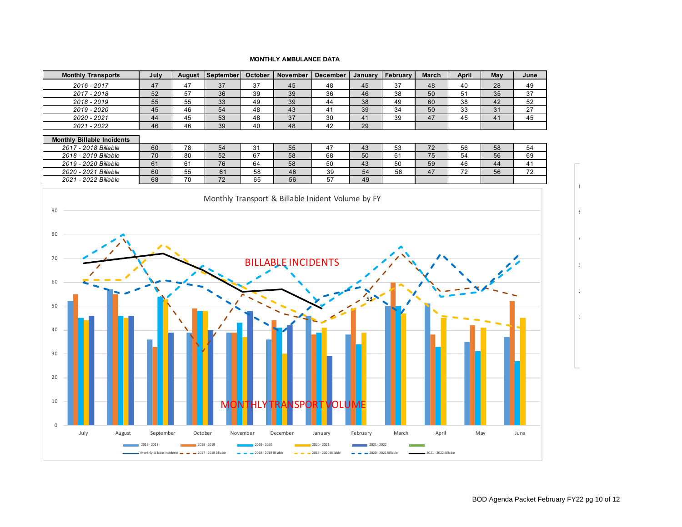#### **MONTHLY AMBULANCE DATA**



100

 $\frac{2}{4}$ 

300

400

 $\,$ 

 $6<sup>°</sup>$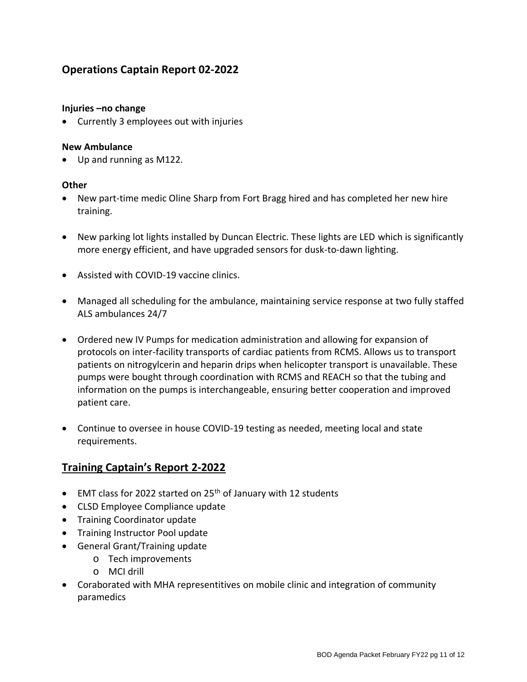# **Operations Captain Report 02-2022**

### **Injuries –no change**

• Currently 3 employees out with injuries

#### **New Ambulance**

• Up and running as M122.

#### **Other**

- New part-time medic Oline Sharp from Fort Bragg hired and has completed her new hire training.
- New parking lot lights installed by Duncan Electric. These lights are LED which is significantly more energy efficient, and have upgraded sensors for dusk-to-dawn lighting.
- Assisted with COVID-19 vaccine clinics.
- Managed all scheduling for the ambulance, maintaining service response at two fully staffed ALS ambulances 24/7
- Ordered new IV Pumps for medication administration and allowing for expansion of protocols on inter-facility transports of cardiac patients from RCMS. Allows us to transport patients on nitrogylcerin and heparin drips when helicopter transport is unavailable. These pumps were bought through coordination with RCMS and REACH so that the tubing and information on the pumps is interchangeable, ensuring better cooperation and improved patient care.
- Continue to oversee in house COVID-19 testing as needed, meeting local and state requirements.

# **Training Captain's Report 2-2022**

- EMT class for 2022 started on 25<sup>th</sup> of January with 12 students
- CLSD Employee Compliance update
- Training Coordinator update
- Training Instructor Pool update
- General Grant/Training update
	- o Tech improvements
	- o MCI drill
- Coraborated with MHA representitives on mobile clinic and integration of community paramedics